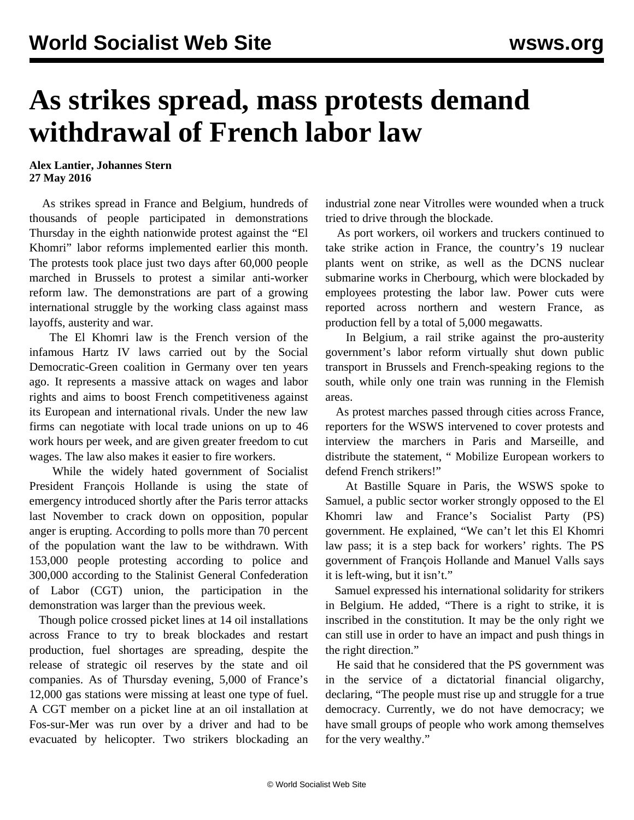## **As strikes spread, mass protests demand withdrawal of French labor law**

## **Alex Lantier, Johannes Stern 27 May 2016**

 As strikes spread in France and Belgium, hundreds of thousands of people participated in demonstrations Thursday in the eighth nationwide protest against the "El Khomri" labor reforms implemented earlier this month. The protests took place just two days after 60,000 people marched in Brussels to protest a similar anti-worker reform law. The demonstrations are part of a growing international struggle by the working class against mass layoffs, austerity and war.

 The El Khomri law is the French version of the infamous Hartz IV laws carried out by the Social Democratic-Green coalition in Germany over ten years ago. It represents a massive attack on wages and labor rights and aims to boost French competitiveness against its European and international rivals. Under the new law firms can negotiate with local trade unions on up to 46 work hours per week, and are given greater freedom to cut wages. The law also makes it easier to fire workers.

 While the widely hated government of Socialist President François Hollande is using the state of emergency introduced shortly after the Paris terror attacks last November to crack down on opposition, popular anger is erupting. According to polls more than 70 percent of the population want the law to be withdrawn. With 153,000 people protesting according to police and 300,000 according to the Stalinist General Confederation of Labor (CGT) union, the participation in the demonstration was larger than the previous week.

 Though police crossed picket lines at 14 oil installations across France to try to break blockades and restart production, fuel shortages are spreading, despite the release of strategic oil reserves by the state and oil companies. As of Thursday evening, 5,000 of France's 12,000 gas stations were missing at least one type of fuel. A CGT member on a picket line at an oil installation at Fos-sur-Mer was run over by a driver and had to be evacuated by helicopter. Two strikers blockading an

industrial zone near Vitrolles were wounded when a truck tried to drive through the blockade.

 As port workers, oil workers and truckers continued to take strike action in France, the country's 19 nuclear plants went on strike, as well as the DCNS nuclear submarine works in Cherbourg, which were blockaded by employees protesting the labor law. Power cuts were reported across northern and western France, as production fell by a total of 5,000 megawatts.

 In Belgium, a rail strike against the pro-austerity government's labor reform virtually shut down public transport in Brussels and French-speaking regions to the south, while only one train was running in the Flemish areas.

 As protest marches passed through cities across France, reporters for the WSWS intervened to cover protests and interview the marchers in Paris and Marseille, and distribute the statement, " [Mobilize European workers to](/en/articles/2016/05/26/pers-m26.html) [defend French strikers](/en/articles/2016/05/26/pers-m26.html)!"

 At Bastille Square in Paris, the WSWS spoke to Samuel, a public sector worker strongly opposed to the El Khomri law and France's Socialist Party (PS) government. He explained, "We can't let this El Khomri law pass; it is a step back for workers' rights. The PS government of François Hollande and Manuel Valls says it is left-wing, but it isn't."

 Samuel expressed his international solidarity for strikers in Belgium. He added, "There is a right to strike, it is inscribed in the constitution. It may be the only right we can still use in order to have an impact and push things in the right direction."

 He said that he considered that the PS government was in the service of a dictatorial financial oligarchy, declaring, "The people must rise up and struggle for a true democracy. Currently, we do not have democracy; we have small groups of people who work among themselves for the very wealthy."